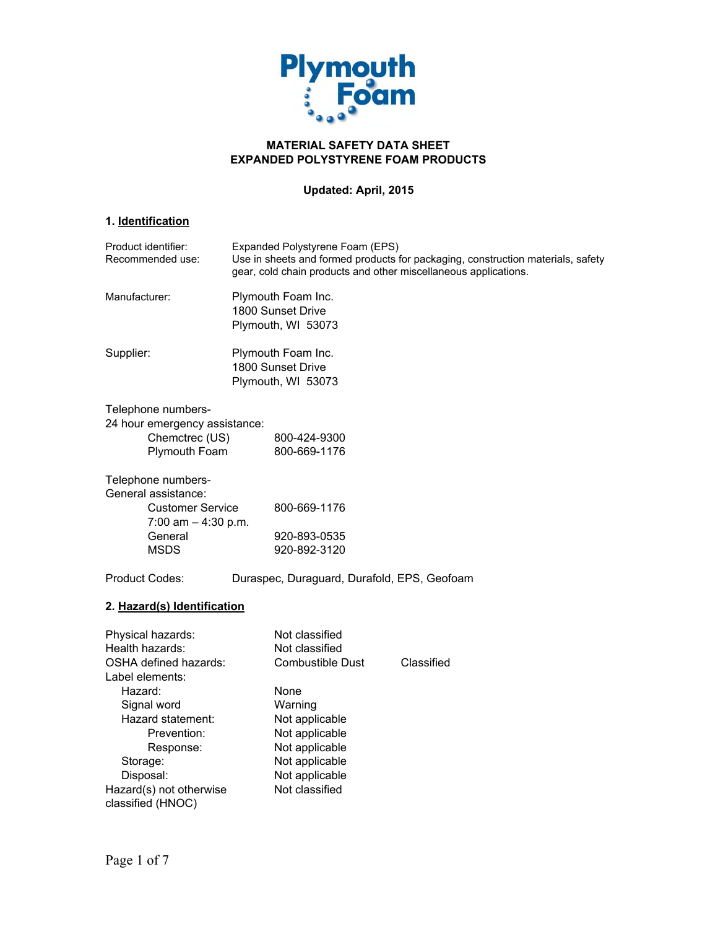

# **MATERIAL SAFETY DATA SHEET EXPANDED POLYSTYRENE FOAM PRODUCTS**

# **Updated: April, 2015**

# **1. Identification**

| Product identifier:<br>Recommended use:          | Expanded Polystyrene Foam (EPS)<br>Use in sheets and formed products for packaging, construction materials, safety<br>gear, cold chain products and other miscellaneous applications. |                                             |            |
|--------------------------------------------------|---------------------------------------------------------------------------------------------------------------------------------------------------------------------------------------|---------------------------------------------|------------|
| Manufacturer:                                    | Plymouth Foam Inc.<br>1800 Sunset Drive<br>Plymouth, WI 53073                                                                                                                         |                                             |            |
| Supplier:                                        | Plymouth Foam Inc.<br>1800 Sunset Drive<br>Plymouth, WI 53073                                                                                                                         |                                             |            |
| Telephone numbers-                               |                                                                                                                                                                                       |                                             |            |
| 24 hour emergency assistance:                    |                                                                                                                                                                                       |                                             |            |
| Chemctrec (US)                                   |                                                                                                                                                                                       | 800-424-9300                                |            |
| Plymouth Foam                                    |                                                                                                                                                                                       | 800-669-1176                                |            |
| Telephone numbers-<br>General assistance:        |                                                                                                                                                                                       |                                             |            |
| <b>Customer Service</b><br>7:00 am $-$ 4:30 p.m. |                                                                                                                                                                                       | 800-669-1176                                |            |
| General                                          |                                                                                                                                                                                       | 920-893-0535                                |            |
| <b>MSDS</b>                                      |                                                                                                                                                                                       | 920-892-3120                                |            |
|                                                  |                                                                                                                                                                                       |                                             |            |
| <b>Product Codes:</b>                            |                                                                                                                                                                                       | Duraspec, Duraguard, Durafold, EPS, Geofoam |            |
| 2. Hazard(s) Identification                      |                                                                                                                                                                                       |                                             |            |
| Physical hazards:                                |                                                                                                                                                                                       | Not classified                              |            |
| Health hazards:                                  |                                                                                                                                                                                       | Not classified                              |            |
| <b>OSHA defined hazards:</b>                     |                                                                                                                                                                                       | <b>Combustible Dust</b>                     | Classified |
| Label elements:                                  |                                                                                                                                                                                       |                                             |            |
| Hazard:                                          |                                                                                                                                                                                       | None                                        |            |
| Signal word                                      |                                                                                                                                                                                       | Warning                                     |            |
| Hazard statement:                                |                                                                                                                                                                                       | Not applicable                              |            |
| Prevention:                                      |                                                                                                                                                                                       | Not applicable                              |            |
| Response:                                        |                                                                                                                                                                                       | Not applicable                              |            |
| Storage:                                         |                                                                                                                                                                                       | Not applicable                              |            |
| Disposal:                                        |                                                                                                                                                                                       | Not applicable                              |            |
| Hazard(s) not otherwise                          |                                                                                                                                                                                       | Not classified                              |            |
| classified (HNOC)                                |                                                                                                                                                                                       |                                             |            |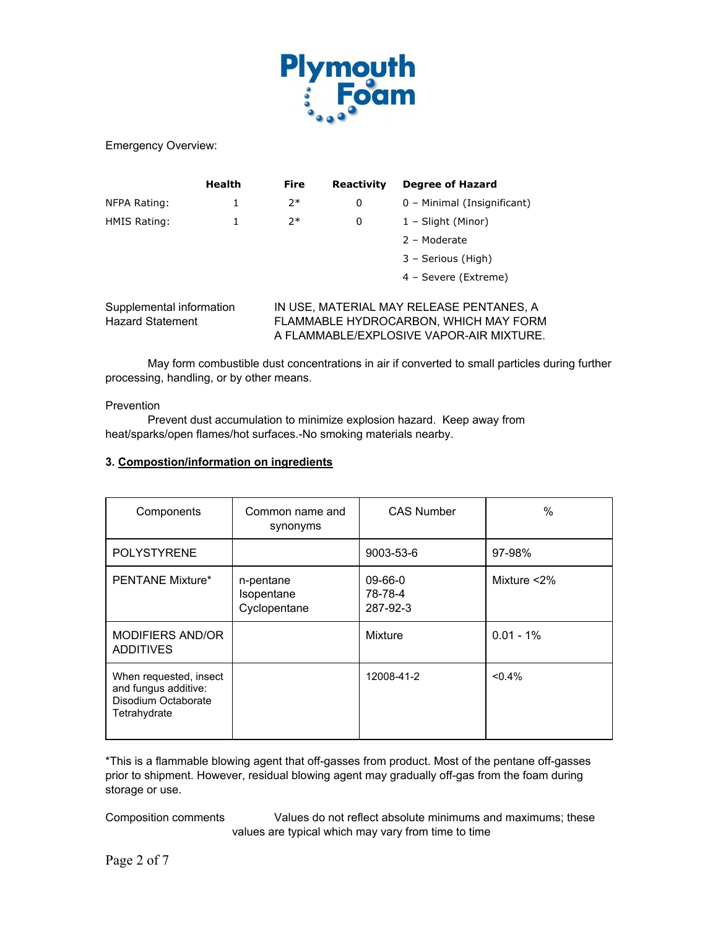

Emergency Overview:

|                                                     | Health | <b>Fire</b> | Reactivity | <b>Degree of Hazard</b>                                                                                                       |
|-----------------------------------------------------|--------|-------------|------------|-------------------------------------------------------------------------------------------------------------------------------|
| NFPA Rating:                                        | 1      | $2*$        | 0          | 0 - Minimal (Insignificant)                                                                                                   |
| HMIS Rating:                                        |        | $7*$        | 0          | 1 – Slight (Minor)                                                                                                            |
|                                                     |        |             |            | 2 - Moderate                                                                                                                  |
|                                                     |        |             |            | 3 - Serious (High)                                                                                                            |
|                                                     |        |             |            | 4 - Severe (Extreme)                                                                                                          |
| Supplemental information<br><b>Hazard Statement</b> |        |             |            | IN USE, MATERIAL MAY RELEASE PENTANES, A<br>FLAMMABLE HYDROCARBON, WHICH MAY FORM<br>A FLAMMABLE/EXPLOSIVE VAPOR-AIR MIXTURE. |

May form combustible dust concentrations in air if converted to small particles during further processing, handling, or by other means.

### Prevention

Prevent dust accumulation to minimize explosion hazard. Keep away from heat/sparks/open flames/hot surfaces.-No smoking materials nearby.

# **3. Compostion/information on ingredients**

| Components                                                                            | Common name and<br>synonyms             | <b>CAS Number</b>              | $\%$           |
|---------------------------------------------------------------------------------------|-----------------------------------------|--------------------------------|----------------|
| <b>POLYSTYRENE</b>                                                                    |                                         | 9003-53-6                      | 97-98%         |
| <b>PENTANE Mixture*</b>                                                               | n-pentane<br>Isopentane<br>Cyclopentane | 09-66-0<br>78-78-4<br>287-92-3 | Mixture $<$ 2% |
| MODIFIERS AND/OR<br><b>ADDITIVES</b>                                                  |                                         | Mixture                        | $0.01 - 1\%$   |
| When requested, insect<br>and fungus additive:<br>Disodium Octaborate<br>Tetrahydrate |                                         | 12008-41-2                     | $< 0.4\%$      |

\*This is a flammable blowing agent that off-gasses from product. Most of the pentane off-gasses prior to shipment. However, residual blowing agent may gradually off-gas from the foam during storage or use.

Composition comments Values do not reflect absolute minimums and maximums; these values are typical which may vary from time to time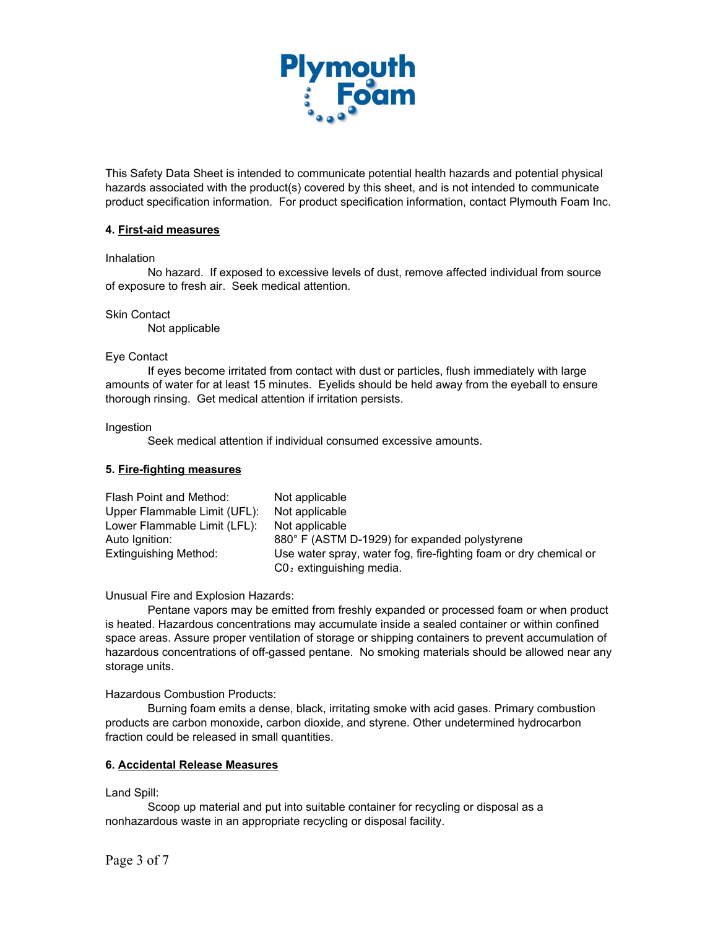

This Safety Data Sheet is intended to communicate potential health hazards and potential physical hazards associated with the product(s) covered by this sheet, and is not intended to communicate product specification information. For product specification information, contact Plymouth Foam Inc.

### **4. First-aid measures**

Inhalation

No hazard. If exposed to excessive levels of dust, remove affected individual from source of exposure to fresh air. Seek medical attention.

#### Skin Contact

Not applicable

#### Eye Contact

If eyes become irritated from contact with dust or particles, flush immediately with large amounts of water for at least 15 minutes. Eyelids should be held away from the eyeball to ensure thorough rinsing. Get medical attention if irritation persists.

Ingestion

Seek medical attention if individual consumed excessive amounts.

#### **5. Fire-fighting measures**

| Flash Point and Method:      | Not applicable                                                    |
|------------------------------|-------------------------------------------------------------------|
| Upper Flammable Limit (UFL): | Not applicable                                                    |
| Lower Flammable Limit (LFL): | Not applicable                                                    |
| Auto Ignition:               | 880° F (ASTM D-1929) for expanded polystyrene                     |
| Extinguishing Method:        | Use water spray, water fog, fire-fighting foam or dry chemical or |
|                              | $CO2$ extinguishing media.                                        |

Unusual Fire and Explosion Hazards:

Pentane vapors may be emitted from freshly expanded or processed foam or when product is heated. Hazardous concentrations may accumulate inside a sealed container or within confined space areas. Assure proper ventilation of storage or shipping containers to prevent accumulation of hazardous concentrations of off-gassed pentane. No smoking materials should be allowed near any storage units.

Hazardous Combustion Products:

Burning foam emits a dense, black, irritating smoke with acid gases. Primary combustion products are carbon monoxide, carbon dioxide, and styrene. Other undetermined hydrocarbon fraction could be released in small quantities.

#### **6. Accidental Release Measures**

Land Spill:

Scoop up material and put into suitable container for recycling or disposal as a nonhazardous waste in an appropriate recycling or disposal facility.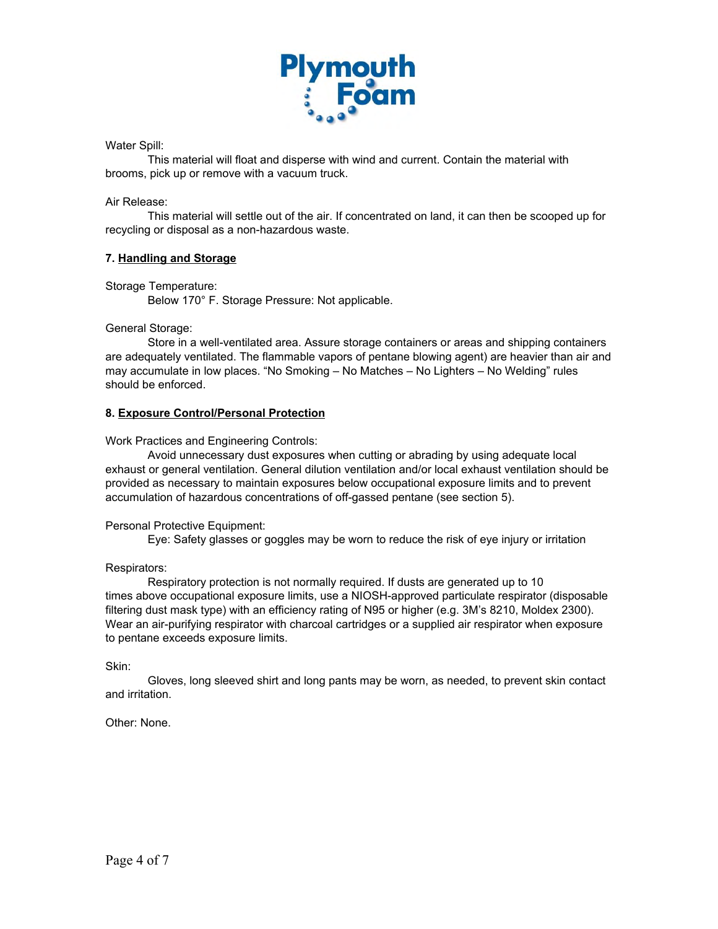

# Water Spill:

This material will float and disperse with wind and current. Contain the material with brooms, pick up or remove with a vacuum truck.

# Air Release:

This material will settle out of the air. If concentrated on land, it can then be scooped up for recycling or disposal as a non-hazardous waste.

# **7. Handling and Storage**

Storage Temperature:

Below 170° F. Storage Pressure: Not applicable.

General Storage:

Store in a well-ventilated area. Assure storage containers or areas and shipping containers are adequately ventilated. The flammable vapors of pentane blowing agent) are heavier than air and may accumulate in low places. "No Smoking – No Matches – No Lighters – No Welding" rules should be enforced.

# **8. Exposure Control/Personal Protection**

Work Practices and Engineering Controls:

Avoid unnecessary dust exposures when cutting or abrading by using adequate local exhaust or general ventilation. General dilution ventilation and/or local exhaust ventilation should be provided as necessary to maintain exposures below occupational exposure limits and to prevent accumulation of hazardous concentrations of off-gassed pentane (see section 5).

### Personal Protective Equipment:

Eye: Safety glasses or goggles may be worn to reduce the risk of eye injury or irritation

### Respirators:

Respiratory protection is not normally required. If dusts are generated up to 10 times above occupational exposure limits, use a NIOSH-approved particulate respirator (disposable filtering dust mask type) with an efficiency rating of N95 or higher (e.g. 3M's 8210, Moldex 2300). Wear an air-purifying respirator with charcoal cartridges or a supplied air respirator when exposure to pentane exceeds exposure limits.

Skin:

Gloves, long sleeved shirt and long pants may be worn, as needed, to prevent skin contact and irritation.

Other: None.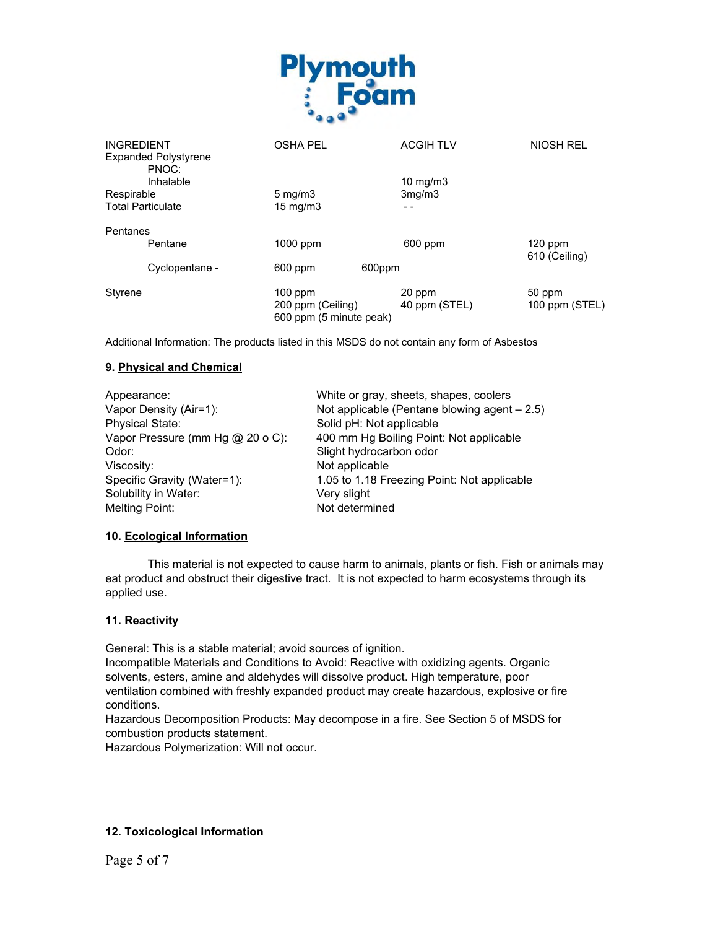

| <b>INGREDIENT</b>                    | <b>OSHA PEL</b>                              | <b>ACGIH TLV</b> | <b>NIOSH REL</b>           |
|--------------------------------------|----------------------------------------------|------------------|----------------------------|
| <b>Expanded Polystyrene</b><br>PNOC: |                                              |                  |                            |
| Inhalable                            |                                              | 10 $mg/m3$       |                            |
| Respirable                           | $5 \,\mathrm{mq/m}$                          | 3mq/m3           |                            |
| <b>Total Particulate</b>             | $15 \text{ mg/m}$                            | - -              |                            |
| Pentanes                             |                                              |                  |                            |
| Pentane                              | 1000 ppm                                     | 600 ppm          | $120$ ppm<br>610 (Ceiling) |
| Cyclopentane -                       | 600 ppm                                      | 600ppm           |                            |
| Styrene                              | $100$ ppm                                    | 20 ppm           | 50 ppm                     |
|                                      | 200 ppm (Ceiling)<br>600 ppm (5 minute peak) | 40 ppm (STEL)    | 100 ppm (STEL)             |

Additional Information: The products listed in this MSDS do not contain any form of Asbestos

# **9. Physical and Chemical**

| Appearance:                      | White or gray, sheets, shapes, coolers         |
|----------------------------------|------------------------------------------------|
| Vapor Density (Air=1):           | Not applicable (Pentane blowing agent $-2.5$ ) |
| <b>Physical State:</b>           | Solid pH: Not applicable                       |
| Vapor Pressure (mm Hg @ 20 o C): | 400 mm Hg Boiling Point: Not applicable        |
| Odor:                            | Slight hydrocarbon odor                        |
| Viscosity:                       | Not applicable                                 |
| Specific Gravity (Water=1):      | 1.05 to 1.18 Freezing Point: Not applicable    |
| Solubility in Water:             | Very slight                                    |
| Melting Point:                   | Not determined                                 |

### **10. Ecological Information**

This material is not expected to cause harm to animals, plants or fish. Fish or animals may eat product and obstruct their digestive tract. It is not expected to harm ecosystems through its applied use.

### **11. Reactivity**

General: This is a stable material; avoid sources of ignition.

Incompatible Materials and Conditions to Avoid: Reactive with oxidizing agents. Organic solvents, esters, amine and aldehydes will dissolve product. High temperature, poor ventilation combined with freshly expanded product may create hazardous, explosive or fire conditions.

Hazardous Decomposition Products: May decompose in a fire. See Section 5 of MSDS for combustion products statement.

Hazardous Polymerization: Will not occur.

### **12. Toxicological Information**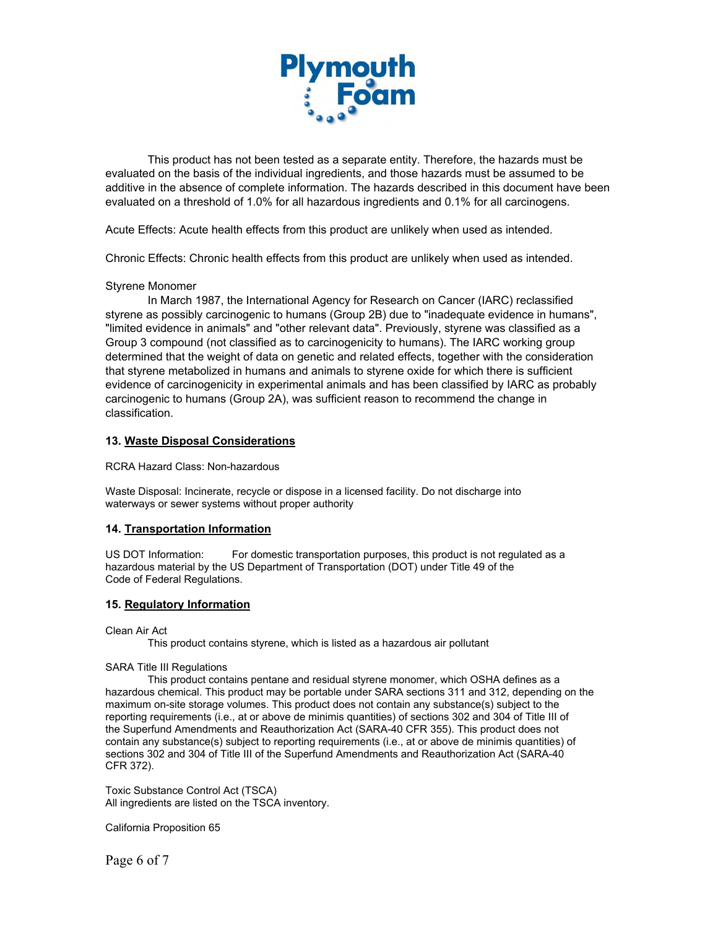

This product has not been tested as a separate entity. Therefore, the hazards must be evaluated on the basis of the individual ingredients, and those hazards must be assumed to be additive in the absence of complete information. The hazards described in this document have been evaluated on a threshold of 1.0% for all hazardous ingredients and 0.1% for all carcinogens.

Acute Effects: Acute health effects from this product are unlikely when used as intended.

Chronic Effects: Chronic health effects from this product are unlikely when used as intended.

#### Styrene Monomer

In March 1987, the International Agency for Research on Cancer (IARC) reclassified styrene as possibly carcinogenic to humans (Group 2B) due to "inadequate evidence in humans", "limited evidence in animals" and "other relevant data". Previously, styrene was classified as a Group 3 compound (not classified as to carcinogenicity to humans). The IARC working group determined that the weight of data on genetic and related effects, together with the consideration that styrene metabolized in humans and animals to styrene oxide for which there is sufficient evidence of carcinogenicity in experimental animals and has been classified by IARC as probably carcinogenic to humans (Group 2A), was sufficient reason to recommend the change in classification.

#### **13. Waste Disposal Considerations**

RCRA Hazard Class: Non-hazardous

Waste Disposal: Incinerate, recycle or dispose in a licensed facility. Do not discharge into waterways or sewer systems without proper authority

### **14. Transportation Information**

US DOT Information: For domestic transportation purposes, this product is not regulated as a hazardous material by the US Department of Transportation (DOT) under Title 49 of the Code of Federal Regulations.

#### **15. Regulatory Information**

Clean Air Act

This product contains styrene, which is listed as a hazardous air pollutant

#### SARA Title III Regulations

This product contains pentane and residual styrene monomer, which OSHA defines as a hazardous chemical. This product may be portable under SARA sections 311 and 312, depending on the maximum on-site storage volumes. This product does not contain any substance(s) subject to the reporting requirements (i.e., at or above de minimis quantities) of sections 302 and 304 of Title III of the Superfund Amendments and Reauthorization Act (SARA-40 CFR 355). This product does not contain any substance(s) subject to reporting requirements (i.e., at or above de minimis quantities) of sections 302 and 304 of Title III of the Superfund Amendments and Reauthorization Act (SARA-40 CFR 372).

Toxic Substance Control Act (TSCA) All ingredients are listed on the TSCA inventory.

California Proposition 65

Page 6 of 7